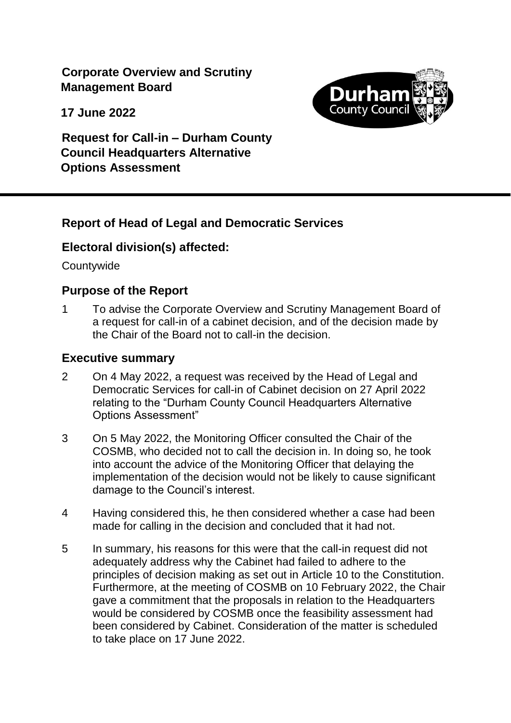**Corporate Overview and Scrutiny Management Board**

**17 June 2022**



**Request for Call-in – Durham County Council Headquarters Alternative Options Assessment**

# **Report of Head of Legal and Democratic Services**

# **Electoral division(s) affected:**

**Countywide** 

# **Purpose of the Report**

1 To advise the Corporate Overview and Scrutiny Management Board of a request for call-in of a cabinet decision, and of the decision made by the Chair of the Board not to call-in the decision.

#### **Executive summary**

- 2 On 4 May 2022, a request was received by the Head of Legal and Democratic Services for call-in of Cabinet decision on 27 April 2022 relating to the "Durham County Council Headquarters Alternative Options Assessment"
- 3 On 5 May 2022, the Monitoring Officer consulted the Chair of the COSMB, who decided not to call the decision in. In doing so, he took into account the advice of the Monitoring Officer that delaying the implementation of the decision would not be likely to cause significant damage to the Council's interest.
- 4 Having considered this, he then considered whether a case had been made for calling in the decision and concluded that it had not.
- 5 In summary, his reasons for this were that the call-in request did not adequately address why the Cabinet had failed to adhere to the principles of decision making as set out in Article 10 to the Constitution. Furthermore, at the meeting of COSMB on 10 February 2022, the Chair gave a commitment that the proposals in relation to the Headquarters would be considered by COSMB once the feasibility assessment had been considered by Cabinet. Consideration of the matter is scheduled to take place on 17 June 2022.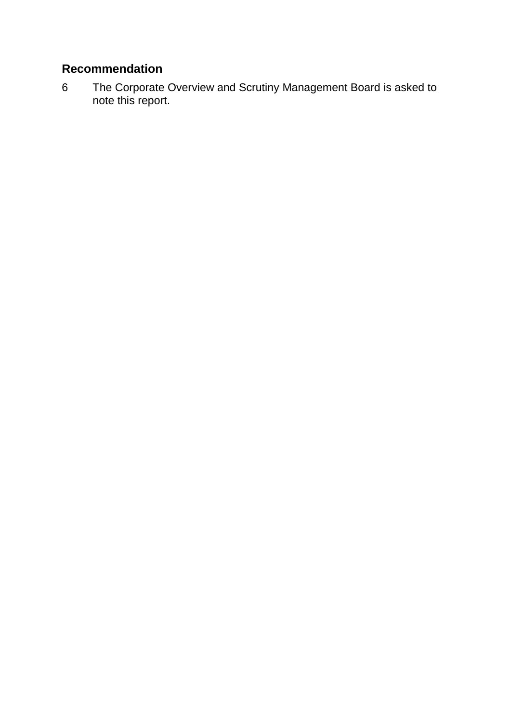# **Recommendation**

6 The Corporate Overview and Scrutiny Management Board is asked to note this report.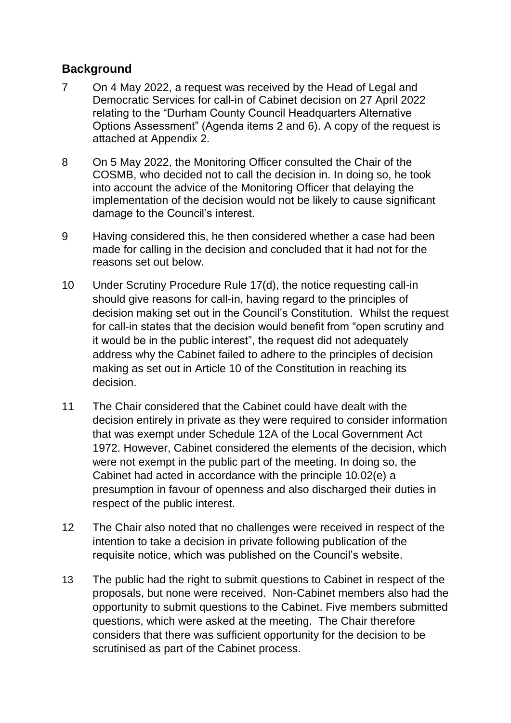# **Background**

- 7 On 4 May 2022, a request was received by the Head of Legal and Democratic Services for call-in of Cabinet decision on 27 April 2022 relating to the "Durham County Council Headquarters Alternative Options Assessment" (Agenda items 2 and 6). A copy of the request is attached at Appendix 2.
- 8 On 5 May 2022, the Monitoring Officer consulted the Chair of the COSMB, who decided not to call the decision in. In doing so, he took into account the advice of the Monitoring Officer that delaying the implementation of the decision would not be likely to cause significant damage to the Council's interest.
- 9 Having considered this, he then considered whether a case had been made for calling in the decision and concluded that it had not for the reasons set out below.
- 10 Under Scrutiny Procedure Rule 17(d), the notice requesting call-in should give reasons for call-in, having regard to the principles of decision making set out in the Council's Constitution. Whilst the request for call-in states that the decision would benefit from "open scrutiny and it would be in the public interest", the request did not adequately address why the Cabinet failed to adhere to the principles of decision making as set out in Article 10 of the Constitution in reaching its decision.
- 11 The Chair considered that the Cabinet could have dealt with the decision entirely in private as they were required to consider information that was exempt under Schedule 12A of the Local Government Act 1972. However, Cabinet considered the elements of the decision, which were not exempt in the public part of the meeting. In doing so, the Cabinet had acted in accordance with the principle 10.02(e) a presumption in favour of openness and also discharged their duties in respect of the public interest.
- 12 The Chair also noted that no challenges were received in respect of the intention to take a decision in private following publication of the requisite notice, which was published on the Council's website.
- 13 The public had the right to submit questions to Cabinet in respect of the proposals, but none were received. Non-Cabinet members also had the opportunity to submit questions to the Cabinet. Five members submitted questions, which were asked at the meeting. The Chair therefore considers that there was sufficient opportunity for the decision to be scrutinised as part of the Cabinet process.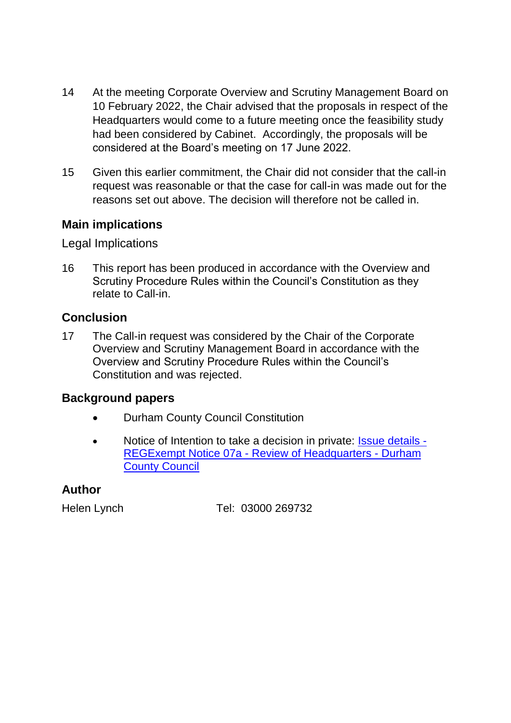- 14 At the meeting Corporate Overview and Scrutiny Management Board on 10 February 2022, the Chair advised that the proposals in respect of the Headquarters would come to a future meeting once the feasibility study had been considered by Cabinet. Accordingly, the proposals will be considered at the Board's meeting on 17 June 2022.
- 15 Given this earlier commitment, the Chair did not consider that the call-in request was reasonable or that the case for call-in was made out for the reasons set out above. The decision will therefore not be called in.

# **Main implications**

Legal Implications

16 This report has been produced in accordance with the Overview and Scrutiny Procedure Rules within the Council's Constitution as they relate to Call-in.

# **Conclusion**

17 The Call-in request was considered by the Chair of the Corporate Overview and Scrutiny Management Board in accordance with the Overview and Scrutiny Procedure Rules within the Council's Constitution and was rejected.

# **Background papers**

- Durham County Council Constitution
- Notice of Intention to take a decision in private: **Issue details** -REGExempt Notice 07a - [Review of Headquarters -](https://democracy.durham.gov.uk/mgIssueHistoryHome.aspx?IId=84636) Durham [County Council](https://democracy.durham.gov.uk/mgIssueHistoryHome.aspx?IId=84636)

# **Author**

Helen Lynch Tel: 03000 269732